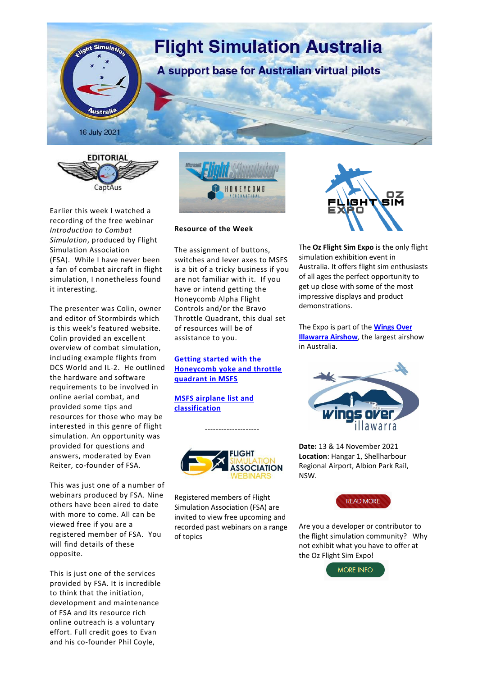



Earlier this week I watched a recording of the free webinar *Introduction to Combat Simulation*, produced by Flight Simulation Association (FSA). While I have never been a fan of combat aircraft in flight simulation, I nonetheless found it interesting.

The presenter was Colin, owner and editor of Stormbirds which is this week's featured website. Colin provided an excellent overview of combat simulation, including example flights from DCS World and IL-2. He outlined the hardware and software requirements to be involved in online aerial combat, and provided some tips and resources for those who may be interested in this genre of flight simulation. An opportunity was provided for questions and answers, moderated by Evan Reiter, co-founder of FSA.

This was just one of a number of webinars produced by FSA. Nine others have been aired to date with more to come. All can be viewed free if you are a registered member of FSA. You will find details of these opposite.

This is just one of the services provided by FSA. It is incredible to think that the initiation, development and maintenance of FSA and its resource rich online outreach is a voluntary effort. Full credit goes to Evan and his co-founder Phil Coyle,



## **Resource of the Week**

The assignment of buttons, switches and lever axes to MSFS is a bit of a tricky business if you are not familiar with it. If you have or intend getting the Honeycomb Alpha Flight Controls and/or the Bravo Throttle Quadrant, this dual set of resources will be of assistance to you.

**[Getting started with the](https://3824fed8-18d8-4769-be3b-46b72a5b8caf.filesusr.com/ugd/8e6da7_13dae7228e6440399c89ace010b7d1c5.pdf)  [Honeycomb yoke and throttle](https://3824fed8-18d8-4769-be3b-46b72a5b8caf.filesusr.com/ugd/8e6da7_13dae7228e6440399c89ace010b7d1c5.pdf)  [quadrant in MSFS](https://3824fed8-18d8-4769-be3b-46b72a5b8caf.filesusr.com/ugd/8e6da7_13dae7228e6440399c89ace010b7d1c5.pdf)**

**[MSFS airplane list and](https://3824fed8-18d8-4769-be3b-46b72a5b8caf.filesusr.com/ugd/8e6da7_580827fe29ef458c9c2d1fcb1fd93257.pdf)  [classification](https://3824fed8-18d8-4769-be3b-46b72a5b8caf.filesusr.com/ugd/8e6da7_580827fe29ef458c9c2d1fcb1fd93257.pdf)**



--------------------

Registered members of Flight Simulation Association (FSA) are invited to view free upcoming and recorded past webinars on a range of topics



The **Oz Flight Sim Expo** is the only flight simulation exhibition event in Australia. It offers flight sim enthusiasts of all ages the perfect opportunity to get up close with some of the most impressive displays and product demonstrations.

The Expo is part of the **[Wings Over](https://wingsoverillawarra.com.au/)  [Illawarra Airshow](https://wingsoverillawarra.com.au/)**, the largest airshow in Australia.



**Date:** 13 & 14 November 2021 **Location**: Hangar 1, Shellharbour Regional Airport, Albion Park Rail, NSW.



Are you a developer or contributor to the flight simulation community? Why not exhibit what you have to offer at the Oz Flight Sim Expo!